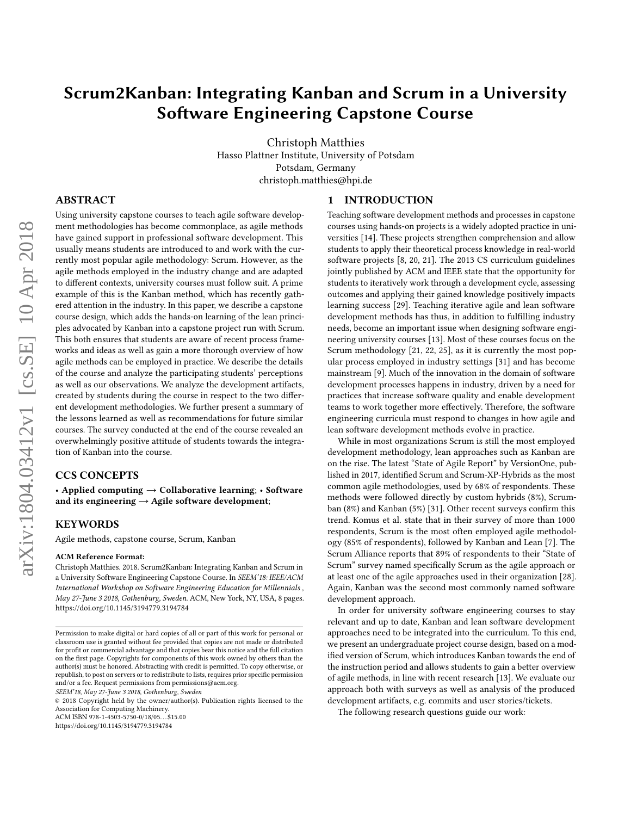# Scrum2Kanban: Integrating Kanban and Scrum in a University Software Engineering Capstone Course

Christoph Matthies Hasso Plattner Institute, University of Potsdam Potsdam, Germany

christoph.matthies@hpi.de

## ABSTRACT

Using university capstone courses to teach agile software development methodologies has become commonplace, as agile methods have gained support in professional software development. This usually means students are introduced to and work with the currently most popular agile methodology: Scrum. However, as the agile methods employed in the industry change and are adapted to different contexts, university courses must follow suit. A prime example of this is the Kanban method, which has recently gathered attention in the industry. In this paper, we describe a capstone course design, which adds the hands-on learning of the lean principles advocated by Kanban into a capstone project run with Scrum. This both ensures that students are aware of recent process frameworks and ideas as well as gain a more thorough overview of how agile methods can be employed in practice. We describe the details of the course and analyze the participating students' perceptions as well as our observations. We analyze the development artifacts, created by students during the course in respect to the two different development methodologies. We further present a summary of the lessons learned as well as recommendations for future similar courses. The survey conducted at the end of the course revealed an overwhelmingly positive attitude of students towards the integration of Kanban into the course.

#### CCS CONCEPTS

• Applied computing  $\rightarrow$  Collaborative learning; • Software and its engineering  $\rightarrow$  Agile software development;

#### KEYWORDS

Agile methods, capstone course, Scrum, Kanban

#### ACM Reference Format:

Christoph Matthies. 2018. Scrum2Kanban: Integrating Kanban and Scrum in a University Software Engineering Capstone Course. In SEEM'18: IEEE/ACM International Workshop on Software Engineering Education for Millennials , May 27-June 3 2018, Gothenburg, Sweden. ACM, New York, NY, USA, [8](#page-7-0) pages. <https://doi.org/10.1145/3194779.3194784>

SEEM'18, May 27-June 3 2018, Gothenburg, Sweden

<https://doi.org/10.1145/3194779.3194784>

#### 1 INTRODUCTION

Teaching software development methods and processes in capstone courses using hands-on projects is a widely adopted practice in universities [\[14\]](#page-7-1). These projects strengthen comprehension and allow students to apply their theoretical process knowledge in real-world software projects [\[8,](#page-7-2) [20,](#page-7-3) [21\]](#page-7-4). The 2013 CS curriculum guidelines jointly published by ACM and IEEE state that the opportunity for students to iteratively work through a development cycle, assessing outcomes and applying their gained knowledge positively impacts learning success [\[29\]](#page-7-5). Teaching iterative agile and lean software development methods has thus, in addition to fulfilling industry needs, become an important issue when designing software engineering university courses [\[13\]](#page-7-6). Most of these courses focus on the Scrum methodology [\[21,](#page-7-4) [22,](#page-7-7) [25\]](#page-7-8), as it is currently the most popular process employed in industry settings [\[31\]](#page-7-9) and has become mainstream [\[9\]](#page-7-10). Much of the innovation in the domain of software development processes happens in industry, driven by a need for practices that increase software quality and enable development teams to work together more effectively. Therefore, the software engineering curricula must respond to changes in how agile and lean software development methods evolve in practice.

While in most organizations Scrum is still the most employed development methodology, lean approaches such as Kanban are on the rise. The latest "State of Agile Report" by VersionOne, published in 2017, identified Scrum and Scrum-XP-Hybrids as the most common agile methodologies, used by 68% of respondents. These methods were followed directly by custom hybrids (8%), Scrumban (8%) and Kanban (5%) [\[31\]](#page-7-9). Other recent surveys confirm this trend. Komus et al. state that in their survey of more than 1000 respondents, Scrum is the most often employed agile methodology (85% of respondents), followed by Kanban and Lean [\[7\]](#page-7-11). The Scrum Alliance reports that 89% of respondents to their "State of Scrum" survey named specifically Scrum as the agile approach or at least one of the agile approaches used in their organization [\[28\]](#page-7-12). Again, Kanban was the second most commonly named software development approach.

In order for university software engineering courses to stay relevant and up to date, Kanban and lean software development approaches need to be integrated into the curriculum. To this end, we present an undergraduate project course design, based on a modified version of Scrum, which introduces Kanban towards the end of the instruction period and allows students to gain a better overview of agile methods, in line with recent research [\[13\]](#page-7-6). We evaluate our approach both with surveys as well as analysis of the produced development artifacts, e.g. commits and user stories/tickets.

<span id="page-0-0"></span>The following research questions guide our work:

Permission to make digital or hard copies of all or part of this work for personal or classroom use is granted without fee provided that copies are not made or distributed for profit or commercial advantage and that copies bear this notice and the full citation on the first page. Copyrights for components of this work owned by others than the author(s) must be honored. Abstracting with credit is permitted. To copy otherwise, or republish, to post on servers or to redistribute to lists, requires prior specific permission and/or a fee. Request permissions from permissions@acm.org.

<sup>©</sup> 2018 Copyright held by the owner/author(s). Publication rights licensed to the Association for Computing Machinery. ACM ISBN 978-1-4503-5750-0/18/05. . . \$15.00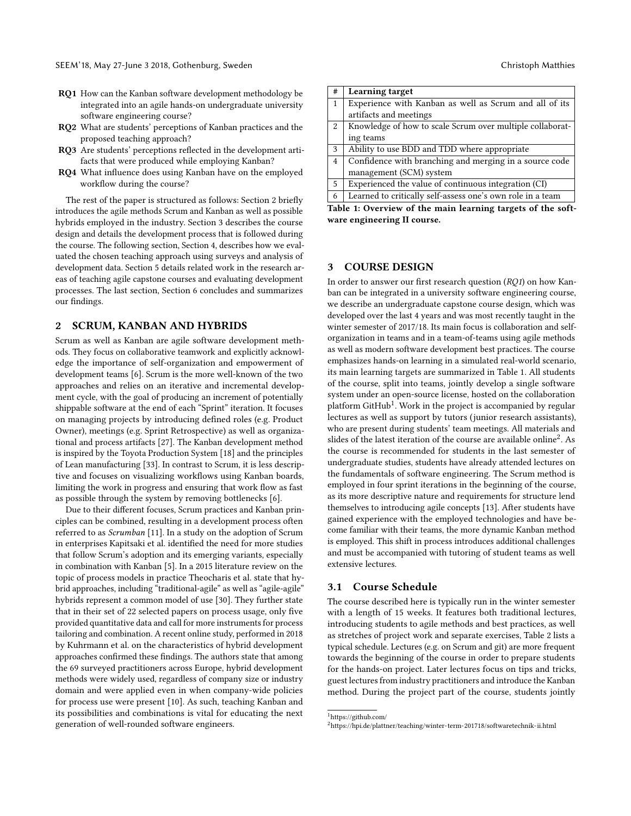- RQ1 How can the Kanban software development methodology be integrated into an agile hands-on undergraduate university software engineering course?
- RQ2 What are students' perceptions of Kanban practices and the proposed teaching approach?
- RQ3 Are students' perceptions reflected in the development artifacts that were produced while employing Kanban?
- RQ4 What influence does using Kanban have on the employed workflow during the course?

The rest of the paper is structured as follows: Section [2](#page-1-0) briefly introduces the agile methods Scrum and Kanban as well as possible hybrids employed in the industry. Section [3](#page-1-1) describes the course design and details the development process that is followed during the course. The following section, Section [4,](#page-3-0) describes how we evaluated the chosen teaching approach using surveys and analysis of development data. Section [5](#page-5-0) details related work in the research areas of teaching agile capstone courses and evaluating development processes. The last section, Section [6](#page-6-0) concludes and summarizes our findings.

#### <span id="page-1-0"></span>2 SCRUM, KANBAN AND HYBRIDS

Scrum as well as Kanban are agile software development methods. They focus on collaborative teamwork and explicitly acknowledge the importance of self-organization and empowerment of development teams [\[6\]](#page-7-13). Scrum is the more well-known of the two approaches and relies on an iterative and incremental development cycle, with the goal of producing an increment of potentially shippable software at the end of each "Sprint" iteration. It focuses on managing projects by introducing defined roles (e.g. Product Owner), meetings (e.g. Sprint Retrospective) as well as organizational and process artifacts [\[27\]](#page-7-14). The Kanban development method is inspired by the Toyota Production System [\[18\]](#page-7-15) and the principles of Lean manufacturing [\[33\]](#page-7-16). In contrast to Scrum, it is less descriptive and focuses on visualizing workflows using Kanban boards, limiting the work in progress and ensuring that work flow as fast as possible through the system by removing bottlenecks [\[6\]](#page-7-13).

Due to their different focuses, Scrum practices and Kanban principles can be combined, resulting in a development process often referred to as Scrumban [\[11\]](#page-7-17). In a study on the adoption of Scrum in enterprises Kapitsaki et al. identified the need for more studies that follow Scrum's adoption and its emerging variants, especially in combination with Kanban [\[5\]](#page-7-18). In a 2015 literature review on the topic of process models in practice Theocharis et al. state that hybrid approaches, including "traditional-agile" as well as "agile-agile" hybrids represent a common model of use [\[30\]](#page-7-19). They further state that in their set of 22 selected papers on process usage, only five provided quantitative data and call for more instruments for process tailoring and combination. A recent online study, performed in 2018 by Kuhrmann et al. on the characteristics of hybrid development approaches confirmed these findings. The authors state that among the 69 surveyed practitioners across Europe, hybrid development methods were widely used, regardless of company size or industry domain and were applied even in when company-wide policies for process use were present [\[10\]](#page-7-20). As such, teaching Kanban and its possibilities and combinations is vital for educating the next generation of well-rounded software engineers.

<span id="page-1-2"></span>

| <b>Learning target</b>                                     |
|------------------------------------------------------------|
| Experience with Kanban as well as Scrum and all of its     |
| artifacts and meetings                                     |
| Knowledge of how to scale Scrum over multiple collaborat-  |
| ing teams                                                  |
| Ability to use BDD and TDD where appropriate               |
| Confidence with branching and merging in a source code     |
| management (SCM) system                                    |
| Experienced the value of continuous integration (CI)       |
| Learned to critically self-assess one's own role in a team |
|                                                            |

Table 1: Overview of the main learning targets of the software engineering II course.

# <span id="page-1-1"></span>3 COURSE DESIGN

In order to answer our first research question (R[Q1](#page-0-0)) on how Kanban can be integrated in a university software engineering course, we describe an undergraduate capstone course design, which was developed over the last 4 years and was most recently taught in the winter semester of 2017/18. Its main focus is collaboration and selforganization in teams and in a team-of-teams using agile methods as well as modern software development best practices. The course emphasizes hands-on learning in a simulated real-world scenario, its main learning targets are summarized in Table [1.](#page-1-2) All students of the course, split into teams, jointly develop a single software system under an open-source license, hosted on the collaboration platform GitHub $^1$  $^1$ . Work in the project is accompanied by regular lectures as well as support by tutors (junior research assistants), who are present during students' team meetings. All materials and slides of the latest iteration of the course are available online<sup>[2](#page-1-4)</sup>. As the course is recommended for students in the last semester of undergraduate studies, students have already attended lectures on the fundamentals of software engineering. The Scrum method is employed in four sprint iterations in the beginning of the course, as its more descriptive nature and requirements for structure lend themselves to introducing agile concepts [\[13\]](#page-7-6). After students have gained experience with the employed technologies and have become familiar with their teams, the more dynamic Kanban method is employed. This shift in process introduces additional challenges and must be accompanied with tutoring of student teams as well extensive lectures.

#### 3.1 Course Schedule

The course described here is typically run in the winter semester with a length of 15 weeks. It features both traditional lectures, introducing students to agile methods and best practices, as well as stretches of project work and separate exercises, Table [2](#page-2-0) lists a typical schedule. Lectures (e.g. on Scrum and git) are more frequent towards the beginning of the course in order to prepare students for the hands-on project. Later lectures focus on tips and tricks, guest lectures from industry practitioners and introduce the Kanban method. During the project part of the course, students jointly

<span id="page-1-3"></span><sup>1</sup><https://github.com/>

<span id="page-1-4"></span> $^{2}$ <https://hpi.de/plattner/teaching/winter-term-201718/softwaretechnik-ii.html>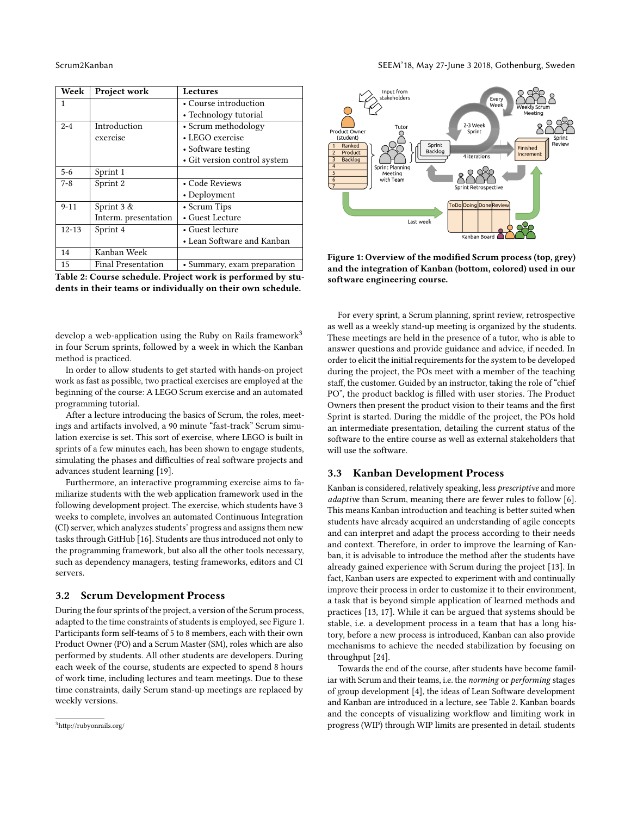<span id="page-2-0"></span>

| Week      | Project work              | <b>Lectures</b>              |
|-----------|---------------------------|------------------------------|
| 1         |                           | • Course introduction        |
|           |                           | • Technology tutorial        |
| $2 - 4$   | Introduction              | • Scrum methodology          |
|           | exercise                  | • LEGO exercise              |
|           |                           | • Software testing           |
|           |                           | • Git version control system |
| $5-6$     | Sprint 1                  |                              |
| $7 - 8$   | Sprint 2                  | • Code Reviews               |
|           |                           | • Deployment                 |
| $9 - 11$  | Sprint $3 &$              | • Scrum Tips                 |
|           | Interm. presentation      | • Guest Lecture              |
| $12 - 13$ | Sprint 4                  | • Guest lecture              |
|           |                           | • Lean Software and Kanban   |
| 14        | Kanban Week               |                              |
| 15        | <b>Final Presentation</b> | • Summary, exam preparation  |

Table 2: Course schedule. Project work is performed by students in their teams or individually on their own schedule.

develop a web-application using the Ruby on Rails framework<sup>[3](#page-2-1)</sup> in four Scrum sprints, followed by a week in which the Kanban method is practiced.

In order to allow students to get started with hands-on project work as fast as possible, two practical exercises are employed at the beginning of the course: A LEGO Scrum exercise and an automated programming tutorial.

After a lecture introducing the basics of Scrum, the roles, meetings and artifacts involved, a 90 minute "fast-track" Scrum simulation exercise is set. This sort of exercise, where LEGO is built in sprints of a few minutes each, has been shown to engage students, simulating the phases and difficulties of real software projects and advances student learning [\[19\]](#page-7-21).

Furthermore, an interactive programming exercise aims to familiarize students with the web application framework used in the following development project. The exercise, which students have 3 weeks to complete, involves an automated Continuous Integration (CI) server, which analyzes students' progress and assigns them new tasks through GitHub [\[16\]](#page-7-22). Students are thus introduced not only to the programming framework, but also all the other tools necessary, such as dependency managers, testing frameworks, editors and CI servers.

#### 3.2 Scrum Development Process

During the four sprints of the project, a version of the Scrum process, adapted to the time constraints of students is employed, see Figure [1.](#page-2-2) Participants form self-teams of 5 to 8 members, each with their own Product Owner (PO) and a Scrum Master (SM), roles which are also performed by students. All other students are developers. During each week of the course, students are expected to spend 8 hours of work time, including lectures and team meetings. Due to these time constraints, daily Scrum stand-up meetings are replaced by weekly versions.

<span id="page-2-2"></span>

Figure 1: Overview of the modified Scrum process (top, grey) and the integration of Kanban (bottom, colored) used in our software engineering course.

For every sprint, a Scrum planning, sprint review, retrospective as well as a weekly stand-up meeting is organized by the students. These meetings are held in the presence of a tutor, who is able to answer questions and provide guidance and advice, if needed. In order to elicit the initial requirements for the system to be developed during the project, the POs meet with a member of the teaching staff, the customer. Guided by an instructor, taking the role of "chief PO", the product backlog is filled with user stories. The Product Owners then present the product vision to their teams and the first Sprint is started. During the middle of the project, the POs hold an intermediate presentation, detailing the current status of the software to the entire course as well as external stakeholders that will use the software.

#### 3.3 Kanban Development Process

Kanban is considered, relatively speaking, less prescriptive and more adaptive than Scrum, meaning there are fewer rules to follow [\[6\]](#page-7-13). This means Kanban introduction and teaching is better suited when students have already acquired an understanding of agile concepts and can interpret and adapt the process according to their needs and context. Therefore, in order to improve the learning of Kanban, it is advisable to introduce the method after the students have already gained experience with Scrum during the project [\[13\]](#page-7-6). In fact, Kanban users are expected to experiment with and continually improve their process in order to customize it to their environment, a task that is beyond simple application of learned methods and practices [\[13,](#page-7-6) [17\]](#page-7-23). While it can be argued that systems should be stable, i.e. a development process in a team that has a long history, before a new process is introduced, Kanban can also provide mechanisms to achieve the needed stabilization by focusing on throughput [\[24\]](#page-7-24).

Towards the end of the course, after students have become familiar with Scrum and their teams, i.e. the norming or performing stages of group development [\[4\]](#page-7-25), the ideas of Lean Software development and Kanban are introduced in a lecture, see Table [2.](#page-2-0) Kanban boards and the concepts of visualizing workflow and limiting work in progress (WIP) through WIP limits are presented in detail. students

<span id="page-2-1"></span><sup>3</sup><http://rubyonrails.org/>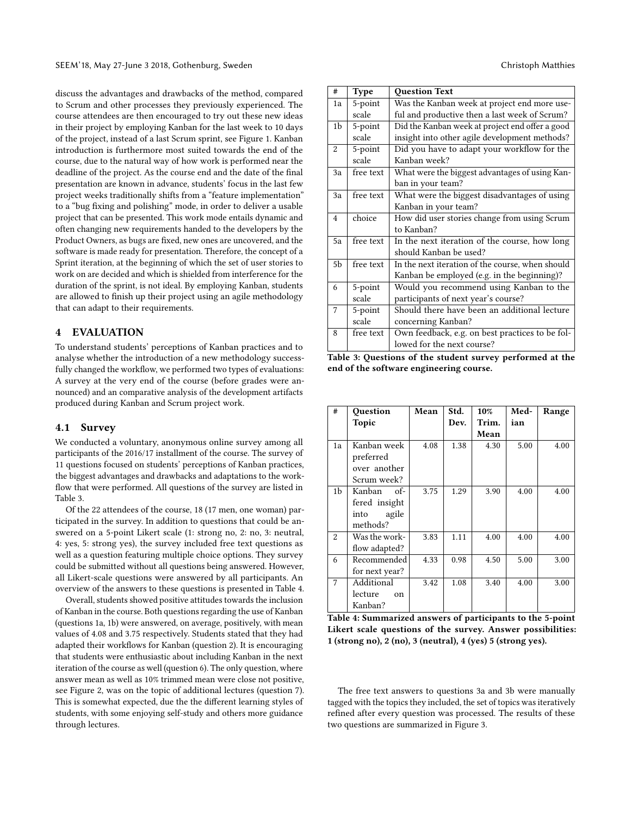discuss the advantages and drawbacks of the method, compared to Scrum and other processes they previously experienced. The course attendees are then encouraged to try out these new ideas in their project by employing Kanban for the last week to 10 days of the project, instead of a last Scrum sprint, see Figure [1.](#page-2-2) Kanban introduction is furthermore most suited towards the end of the course, due to the natural way of how work is performed near the deadline of the project. As the course end and the date of the final presentation are known in advance, students' focus in the last few project weeks traditionally shifts from a "feature implementation" to a "bug fixing and polishing" mode, in order to deliver a usable project that can be presented. This work mode entails dynamic and often changing new requirements handed to the developers by the Product Owners, as bugs are fixed, new ones are uncovered, and the software is made ready for presentation. Therefore, the concept of a Sprint iteration, at the beginning of which the set of user stories to work on are decided and which is shielded from interference for the duration of the sprint, is not ideal. By employing Kanban, students are allowed to finish up their project using an agile methodology that can adapt to their requirements.

#### <span id="page-3-0"></span>4 EVALUATION

To understand students' perceptions of Kanban practices and to analyse whether the introduction of a new methodology successfully changed the workflow, we performed two types of evaluations: A survey at the very end of the course (before grades were announced) and an comparative analysis of the development artifacts produced during Kanban and Scrum project work.

#### 4.1 Survey

We conducted a voluntary, anonymous online survey among all participants of the 2016/17 installment of the course. The survey of 11 questions focused on students' perceptions of Kanban practices, the biggest advantages and drawbacks and adaptations to the workflow that were performed. All questions of the survey are listed in Table [3.](#page-3-1)

Of the 22 attendees of the course, 18 (17 men, one woman) participated in the survey. In addition to questions that could be answered on a 5-point Likert scale (1: strong no, 2: no, 3: neutral, 4: yes, 5: strong yes), the survey included free text questions as well as a question featuring multiple choice options. They survey could be submitted without all questions being answered. However, all Likert-scale questions were answered by all participants. An overview of the answers to these questions is presented in Table [4.](#page-3-2)

Overall, students showed positive attitudes towards the inclusion of Kanban in the course. Both questions regarding the use of Kanban (questions 1a, 1b) were answered, on average, positively, with mean values of 4.08 and 3.75 respectively. Students stated that they had adapted their workflows for Kanban (question 2). It is encouraging that students were enthusiastic about including Kanban in the next iteration of the course as well (question 6). The only question, where answer mean as well as 10% trimmed mean were close not positive, see Figure [2,](#page-4-0) was on the topic of additional lectures (question 7). This is somewhat expected, due the the different learning styles of students, with some enjoying self-study and others more guidance through lectures.

<span id="page-3-1"></span>

| #  | Type      | <b>Question Text</b>                             |
|----|-----------|--------------------------------------------------|
| 1a | 5-point   | Was the Kanban week at project end more use-     |
|    | scale     | ful and productive then a last week of Scrum?    |
| 1b | 5-point   | Did the Kanban week at project end offer a good  |
|    | scale     | insight into other agile development methods?    |
| 2  | 5-point   | Did you have to adapt your workflow for the      |
|    | scale     | Kanban week?                                     |
| 3a | free text | What were the biggest advantages of using Kan-   |
|    |           | ban in your team?                                |
| 3a | free text | What were the biggest disadvantages of using     |
|    |           | Kanban in your team?                             |
| 4  | choice    | How did user stories change from using Scrum     |
|    |           | to Kanban?                                       |
| 5a | free text | In the next iteration of the course, how long    |
|    |           | should Kanban be used?                           |
| 5b | free text | In the next iteration of the course, when should |
|    |           | Kanban be employed (e.g. in the beginning)?      |
| 6  | 5-point   | Would you recommend using Kanban to the          |
|    | scale     | participants of next year's course?              |
| 7  | 5-point   | Should there have been an additional lecture     |
|    | scale     | concerning Kanban?                               |
| 8  | free text | Own feedback, e.g. on best practices to be fol-  |
|    |           | lowed for the next course?                       |

Table 3: Questions of the student survey performed at the end of the software engineering course.

<span id="page-3-2"></span>

| #              | Question       | Mean | Std. | 10%   | Med- | Range |
|----------------|----------------|------|------|-------|------|-------|
|                | <b>Topic</b>   |      | Dev. | Trim. | ian  |       |
|                |                |      |      | Mean  |      |       |
| 1a             | Kanban week    | 4.08 | 1.38 | 4.30  | 5.00 | 4.00  |
|                | preferred      |      |      |       |      |       |
|                | over another   |      |      |       |      |       |
|                | Scrum week?    |      |      |       |      |       |
| 1b             | Kanban<br>of-  | 3.75 | 1.29 | 3.90  | 4.00 | 4.00  |
|                | fered insight  |      |      |       |      |       |
|                | agile<br>into  |      |      |       |      |       |
|                | methods?       |      |      |       |      |       |
| $\overline{2}$ | Was the work-  | 3.83 | 1.11 | 4.00  | 4.00 | 4.00  |
|                | flow adapted?  |      |      |       |      |       |
| 6              | Recommended    | 4.33 | 0.98 | 4.50  | 5.00 | 3.00  |
|                | for next year? |      |      |       |      |       |
| 7              | Additional     | 3.42 | 1.08 | 3.40  | 4.00 | 3.00  |
|                | lecture<br>on  |      |      |       |      |       |
|                | Kanban?        |      |      |       |      |       |

Table 4: Summarized answers of participants to the 5-point Likert scale questions of the survey. Answer possibilities: 1 (strong no), 2 (no), 3 (neutral), 4 (yes) 5 (strong yes).

The free text answers to questions 3a and 3b were manually tagged with the topics they included, the set of topics was iteratively refined after every question was processed. The results of these two questions are summarized in Figure [3.](#page-4-1)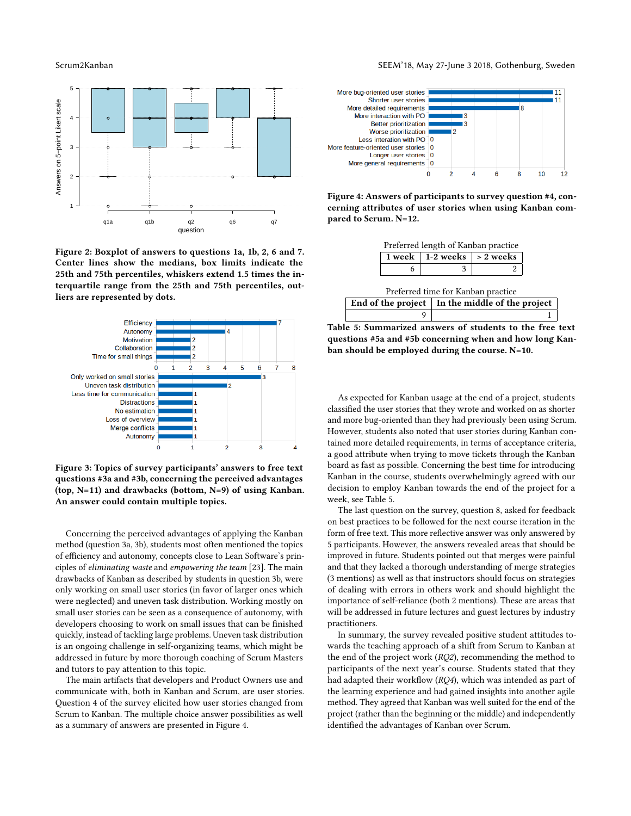<span id="page-4-0"></span>

Figure 2: Boxplot of answers to questions 1a, 1b, 2, 6 and 7. Center lines show the medians, box limits indicate the 25th and 75th percentiles, whiskers extend 1.5 times the interquartile range from the 25th and 75th percentiles, outliers are represented by dots.

<span id="page-4-1"></span>

Figure 3: Topics of survey participants' answers to free text questions #3a and #3b, concerning the perceived advantages (top, N=11) and drawbacks (bottom, N=9) of using Kanban. An answer could contain multiple topics.

Concerning the perceived advantages of applying the Kanban method (question 3a, 3b), students most often mentioned the topics of efficiency and autonomy, concepts close to Lean Software's principles of eliminating waste and empowering the team [\[23\]](#page-7-26). The main drawbacks of Kanban as described by students in question 3b, were only working on small user stories (in favor of larger ones which were neglected) and uneven task distribution. Working mostly on small user stories can be seen as a consequence of autonomy, with developers choosing to work on small issues that can be finished quickly, instead of tackling large problems. Uneven task distribution is an ongoing challenge in self-organizing teams, which might be addressed in future by more thorough coaching of Scrum Masters and tutors to pay attention to this topic.

The main artifacts that developers and Product Owners use and communicate with, both in Kanban and Scrum, are user stories. Question 4 of the survey elicited how user stories changed from Scrum to Kanban. The multiple choice answer possibilities as well as a summary of answers are presented in Figure [4.](#page-4-2)

<span id="page-4-2"></span>

<span id="page-4-3"></span>Figure 4: Answers of participants to survey question #4, concerning attributes of user stories when using Kanban compared to Scrum. N=12.

| Preferred length of Kanban practice |                                |  |  |  |  |  |
|-------------------------------------|--------------------------------|--|--|--|--|--|
|                                     | 1 week   1-2 weeks   > 2 weeks |  |  |  |  |  |
|                                     |                                |  |  |  |  |  |

| Preferred time for Kanban practice                      |  |  |  |  |  |
|---------------------------------------------------------|--|--|--|--|--|
| End of the project $\vert$ In the middle of the project |  |  |  |  |  |
|                                                         |  |  |  |  |  |

Table 5: Summarized answers of students to the free text questions #5a and #5b concerning when and how long Kanban should be employed during the course. N=10.

As expected for Kanban usage at the end of a project, students classified the user stories that they wrote and worked on as shorter and more bug-oriented than they had previously been using Scrum. However, students also noted that user stories during Kanban contained more detailed requirements, in terms of acceptance criteria, a good attribute when trying to move tickets through the Kanban board as fast as possible. Concerning the best time for introducing Kanban in the course, students overwhelmingly agreed with our decision to employ Kanban towards the end of the project for a week, see Table [5.](#page-4-3)

The last question on the survey, question 8, asked for feedback on best practices to be followed for the next course iteration in the form of free text. This more reflective answer was only answered by 5 participants. However, the answers revealed areas that should be improved in future. Students pointed out that merges were painful and that they lacked a thorough understanding of merge strategies (3 mentions) as well as that instructors should focus on strategies of dealing with errors in others work and should highlight the importance of self-reliance (both 2 mentions). These are areas that will be addressed in future lectures and guest lectures by industry practitioners.

In summary, the survey revealed positive student attitudes towards the teaching approach of a shift from Scrum to Kanban at the end of the project work  $(RQ2)$ , recommending the method to participants of the next year's course. Students stated that they had adapted their workflow (RQ4), which was intended as part of the learning experience and had gained insights into another agile method. They agreed that Kanban was well suited for the end of the project (rather than the beginning or the middle) and independently identified the advantages of Kanban over Scrum.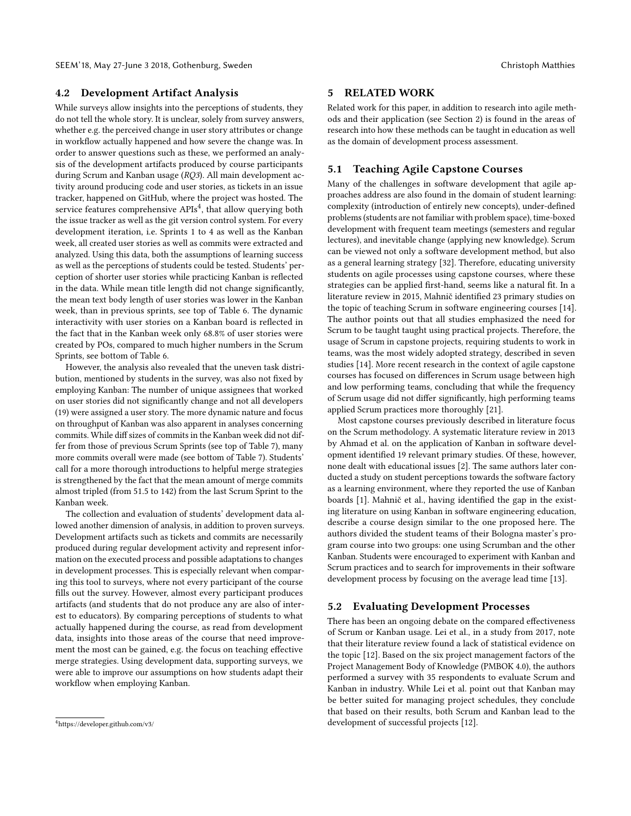SEEM'18, May 27-June 3 2018, Gothenburg, Sweden Christoph Matthies Christoph Matthies

## 4.2 Development Artifact Analysis

While surveys allow insights into the perceptions of students, they do not tell the whole story. It is unclear, solely from survey answers, whether e.g. the perceived change in user story attributes or change in workflow actually happened and how severe the change was. In order to answer questions such as these, we performed an analysis of the development artifacts produced by course participants during Scrum and Kanban usage (RQ3). All main development activity around producing code and user stories, as tickets in an issue tracker, happened on GitHub, where the project was hosted. The service features comprehensive APIs<sup>[4](#page-5-1)</sup>, that allow querying both the issue tracker as well as the git version control system. For every development iteration, i.e. Sprints 1 to 4 as well as the Kanban week, all created user stories as well as commits were extracted and analyzed. Using this data, both the assumptions of learning success as well as the perceptions of students could be tested. Students' perception of shorter user stories while practicing Kanban is reflected in the data. While mean title length did not change significantly, the mean text body length of user stories was lower in the Kanban week, than in previous sprints, see top of Table [6.](#page-6-1) The dynamic interactivity with user stories on a Kanban board is reflected in the fact that in the Kanban week only 68.8% of user stories were created by POs, compared to much higher numbers in the Scrum Sprints, see bottom of Table [6.](#page-6-1)

However, the analysis also revealed that the uneven task distribution, mentioned by students in the survey, was also not fixed by employing Kanban: The number of unique assignees that worked on user stories did not significantly change and not all developers (19) were assigned a user story. The more dynamic nature and focus on throughput of Kanban was also apparent in analyses concerning commits. While diff sizes of commits in the Kanban week did not differ from those of previous Scrum Sprints (see top of Table [7\)](#page-6-2), many more commits overall were made (see bottom of Table [7\)](#page-6-2). Students' call for a more thorough introductions to helpful merge strategies is strengthened by the fact that the mean amount of merge commits almost tripled (from 51.5 to 142) from the last Scrum Sprint to the Kanban week.

The collection and evaluation of students' development data allowed another dimension of analysis, in addition to proven surveys. Development artifacts such as tickets and commits are necessarily produced during regular development activity and represent information on the executed process and possible adaptations to changes in development processes. This is especially relevant when comparing this tool to surveys, where not every participant of the course fills out the survey. However, almost every participant produces artifacts (and students that do not produce any are also of interest to educators). By comparing perceptions of students to what actually happened during the course, as read from development data, insights into those areas of the course that need improvement the most can be gained, e.g. the focus on teaching effective merge strategies. Using development data, supporting surveys, we were able to improve our assumptions on how students adapt their workflow when employing Kanban.

#### <span id="page-5-0"></span>5 RELATED WORK

Related work for this paper, in addition to research into agile methods and their application (see Section [2\)](#page-1-0) is found in the areas of research into how these methods can be taught in education as well as the domain of development process assessment.

#### 5.1 Teaching Agile Capstone Courses

Many of the challenges in software development that agile approaches address are also found in the domain of student learning: complexity (introduction of entirely new concepts), under-defined problems (students are not familiar with problem space), time-boxed development with frequent team meetings (semesters and regular lectures), and inevitable change (applying new knowledge). Scrum can be viewed not only a software development method, but also as a general learning strategy [\[32\]](#page-7-27). Therefore, educating university students on agile processes using capstone courses, where these strategies can be applied first-hand, seems like a natural fit. In a literature review in 2015, Mahnič identified 23 primary studies on the topic of teaching Scrum in software engineering courses [\[14\]](#page-7-1). The author points out that all studies emphasized the need for Scrum to be taught taught using practical projects. Therefore, the usage of Scrum in capstone projects, requiring students to work in teams, was the most widely adopted strategy, described in seven studies [\[14\]](#page-7-1). More recent research in the context of agile capstone courses has focused on differences in Scrum usage between high and low performing teams, concluding that while the frequency of Scrum usage did not differ significantly, high performing teams applied Scrum practices more thoroughly [\[21\]](#page-7-4).

Most capstone courses previously described in literature focus on the Scrum methodology. A systematic literature review in 2013 by Ahmad et al. on the application of Kanban in software development identified 19 relevant primary studies. Of these, however, none dealt with educational issues [\[2\]](#page-7-28). The same authors later conducted a study on student perceptions towards the software factory as a learning environment, where they reported the use of Kanban boards [\[1\]](#page-7-29). Mahnič et al., having identified the gap in the existing literature on using Kanban in software engineering education, describe a course design similar to the one proposed here. The authors divided the student teams of their Bologna master's program course into two groups: one using Scrumban and the other Kanban. Students were encouraged to experiment with Kanban and Scrum practices and to search for improvements in their software development process by focusing on the average lead time [\[13\]](#page-7-6).

#### 5.2 Evaluating Development Processes

There has been an ongoing debate on the compared effectiveness of Scrum or Kanban usage. Lei et al., in a study from 2017, note that their literature review found a lack of statistical evidence on the topic [\[12\]](#page-7-30). Based on the six project management factors of the Project Management Body of Knowledge (PMBOK 4.0), the authors performed a survey with 35 respondents to evaluate Scrum and Kanban in industry. While Lei et al. point out that Kanban may be better suited for managing project schedules, they conclude that based on their results, both Scrum and Kanban lead to the development of successful projects [\[12\]](#page-7-30).

<span id="page-5-1"></span><sup>4</sup><https://developer.github.com/v3/>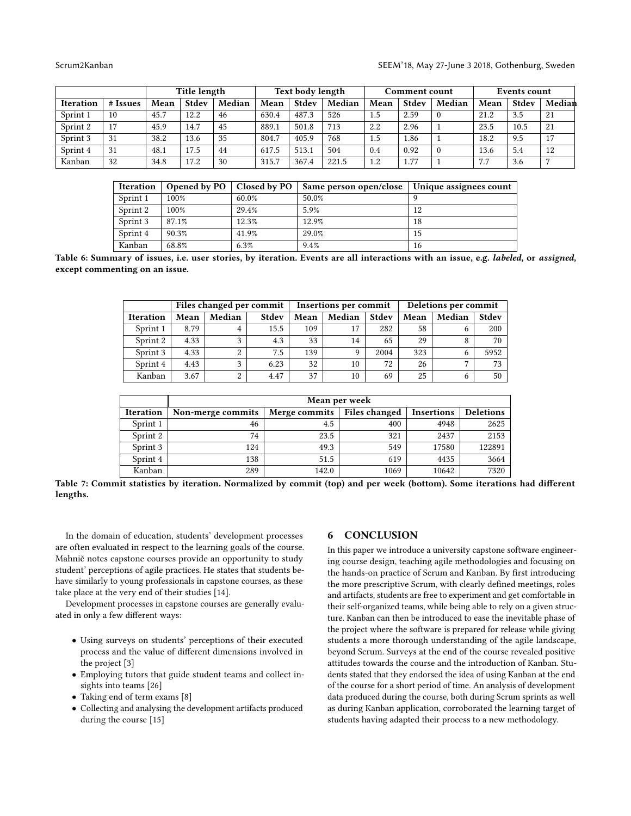<span id="page-6-1"></span>

|                  |          | Title length |       | Text body length |       | Comment count |        |      | Events count |        |      |              |                |
|------------------|----------|--------------|-------|------------------|-------|---------------|--------|------|--------------|--------|------|--------------|----------------|
| <b>Iteration</b> | # Issues | Mean         | Stdev | Median           | Mean  | Stdev         | Median | Mean | Stdev        | Median | Mean | <b>Stdev</b> | Median         |
| Sprint 1         | 10       | 45.7         | 12.2  | 46               | 630.4 | 487.3         | 526    | 1.5  | 2.59         |        | 21.2 | 3.5          | 21             |
| Sprint 2         | 17       | 45.9         | 14.7  | 45               | 889.1 | 501.8         | 713    | 2.2  | 2.96         |        | 23.5 | 10.5         | 21             |
| Sprint 3         | 31       | 38.2         | 13.6  | 35               | 804.7 | 405.9         | 768    | 1.5  | 1.86         |        | 18.2 | 9.5          | 17             |
| Sprint 4         | 31       | 48.1         | 17.5  | 44               | 617.5 | 513.1         | 504    | 0.4  | 0.92         |        | 13.6 | 5.4          | 12             |
| Kanban           | 32       | 34.8         | 17.2  | 30               | 315.7 | 367.4         | 221.5  | 1.2  | 1.77         |        | 7.7  | 3.6          | $\overline{ }$ |

| <b>Iteration</b> | Opened by PO | Closed by PO | Same person open/close | Unique assignees count |
|------------------|--------------|--------------|------------------------|------------------------|
| Sprint 1         | 100%         | 60.0%        | 50.0%                  |                        |
| Sprint 2         | 100%         | 29.4%        | 5.9%                   | 12                     |
| Sprint 3         | 87.1%        | 12.3%        | 12.9%                  | 18                     |
| Sprint 4         | 90.3%        | 41.9%        | 29.0%                  | 15                     |
| Kanban           | 68.8%        | 6.3%         | 9.4%                   | 16                     |

<span id="page-6-2"></span>Table 6: Summary of issues, i.e. user stories, by iteration. Events are all interactions with an issue, e.g. labeled, or assigned, except commenting on an issue.

|                  |      | Files changed per commit |              | Insertions per commit |        |       | Deletions per commit |        |       |
|------------------|------|--------------------------|--------------|-----------------------|--------|-------|----------------------|--------|-------|
| <b>Iteration</b> | Mean | Median                   | <b>Stdev</b> | Mean                  | Median | Stdev | Mean                 | Median | Stdev |
| Sprint 1         | 8.79 | 4                        | 15.5         | 109                   | 17     | 282   | 58                   |        | 200   |
| Sprint 2         | 4.33 | 3                        | 4.3          | 33                    | 14     | 65    | 29                   |        | 70    |
| Sprint 3         | 4.33 | $\Omega$                 | 7.5          | 139                   | 9      | 2004  | 323                  |        | 5952  |
| Sprint 4         | 4.43 | 3                        | 6.23         | 32                    | 10     | 72    | 26                   |        | 73    |
| Kanban           | 3.67 | $\Omega$                 | 4.47         | 37                    | 10     | 69    | 25                   |        | 50    |

|                  | Mean per week     |               |                      |                   |                  |  |  |  |  |  |  |  |
|------------------|-------------------|---------------|----------------------|-------------------|------------------|--|--|--|--|--|--|--|
| <b>Iteration</b> | Non-merge commits | Merge commits | <b>Files changed</b> | <b>Insertions</b> | <b>Deletions</b> |  |  |  |  |  |  |  |
| Sprint 1         | 46                | 4.5           | 400                  | 4948              | 2625             |  |  |  |  |  |  |  |
| Sprint 2         | 74                | 23.5          | 321                  | 2437              | 2153             |  |  |  |  |  |  |  |
| Sprint 3         | 124               | 49.3          | 549                  | 17580             | 122891           |  |  |  |  |  |  |  |
| Sprint 4         | 138               | 51.5          | 619                  | 4435              | 3664             |  |  |  |  |  |  |  |
| Kanban           | 289               | 142.0         | 1069                 | 10642             | 7320             |  |  |  |  |  |  |  |

Table 7: Commit statistics by iteration. Normalized by commit (top) and per week (bottom). Some iterations had different lengths.

In the domain of education, students' development processes are often evaluated in respect to the learning goals of the course. Mahnič notes capstone courses provide an opportunity to study student' perceptions of agile practices. He states that students behave similarly to young professionals in capstone courses, as these take place at the very end of their studies [\[14\]](#page-7-1).

Development processes in capstone courses are generally evaluated in only a few different ways:

- Using surveys on students' perceptions of their executed process and the value of different dimensions involved in the project [\[3\]](#page-7-31)
- Employing tutors that guide student teams and collect insights into teams [\[26\]](#page-7-32)
- Taking end of term exams [\[8\]](#page-7-2)
- Collecting and analysing the development artifacts produced during the course [\[15\]](#page-7-33)

#### <span id="page-6-0"></span>6 CONCLUSION

In this paper we introduce a university capstone software engineering course design, teaching agile methodologies and focusing on the hands-on practice of Scrum and Kanban. By first introducing the more prescriptive Scrum, with clearly defined meetings, roles and artifacts, students are free to experiment and get comfortable in their self-organized teams, while being able to rely on a given structure. Kanban can then be introduced to ease the inevitable phase of the project where the software is prepared for release while giving students a more thorough understanding of the agile landscape, beyond Scrum. Surveys at the end of the course revealed positive attitudes towards the course and the introduction of Kanban. Students stated that they endorsed the idea of using Kanban at the end of the course for a short period of time. An analysis of development data produced during the course, both during Scrum sprints as well as during Kanban application, corroborated the learning target of students having adapted their process to a new methodology.